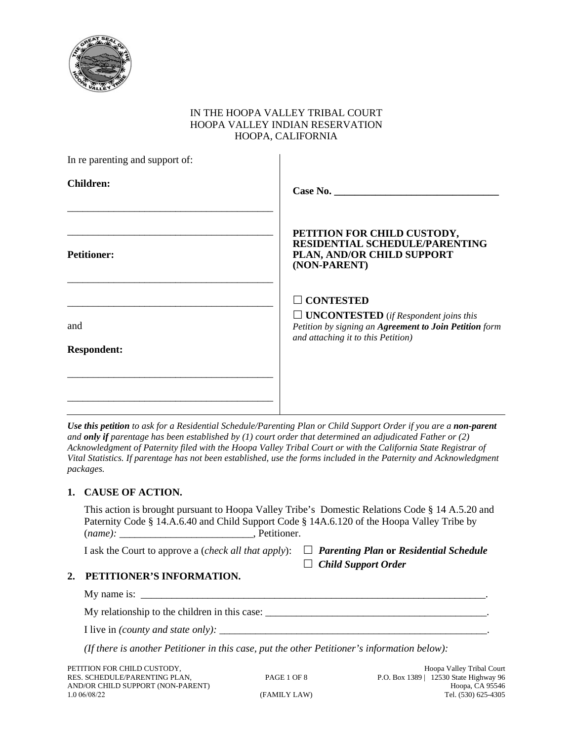

## IN THE HOOPA VALLEY TRIBAL COURT HOOPA VALLEY INDIAN RESERVATION HOOPA, CALIFORNIA

| In re parenting and support of: |                                                                                                                                                                         |
|---------------------------------|-------------------------------------------------------------------------------------------------------------------------------------------------------------------------|
| <b>Children:</b>                |                                                                                                                                                                         |
| <b>Petitioner:</b>              | PETITION FOR CHILD CUSTODY,<br><b>RESIDENTIAL SCHEDULE/PARENTING</b><br>PLAN, AND/OR CHILD SUPPORT<br>(NON-PARENT)                                                      |
| and                             | $\Box$ CONTESTED<br>$\Box$ <b>UNCONTESTED</b> (if Respondent joins this<br>Petition by signing an Agreement to Join Petition form<br>and attaching it to this Petition) |
| <b>Respondent:</b>              |                                                                                                                                                                         |
|                                 |                                                                                                                                                                         |

*Use this petition to ask for a Residential Schedule/Parenting Plan or Child Support Order if you are a non-parent and only if parentage has been established by (1) court order that determined an adjudicated Father or (2) Acknowledgment of Paternity filed with the Hoopa Valley Tribal Court or with the California State Registrar of Vital Statistics. If parentage has not been established, use the forms included in the Paternity and Acknowledgment packages.*

## **1. CAUSE OF ACTION.**

|         | This action is brought pursuant to Hoopa Valley Tribe's Domestic Relations Code § 14 A.5.20 and |
|---------|-------------------------------------------------------------------------------------------------|
|         | Paternity Code § 14.A.6.40 and Child Support Code § 14A.6.120 of the Hoopa Valley Tribe by      |
| (name): | . Petitioner.                                                                                   |

I ask the Court to approve a (*check all that apply*):  $\Box$ 

| $\Box$ Parenting Plan or Residential Schedule |
|-----------------------------------------------|
| $\Box$ Child Support Order                    |

## **2. PETITIONER'S INFORMATION.**

| My name is:                                   |  |
|-----------------------------------------------|--|
| My relationship to the children in this case: |  |

I live in *(county and state only):* \_\_\_\_\_\_\_\_\_\_\_\_\_\_\_\_\_\_\_\_\_\_\_\_\_\_\_\_\_\_\_\_\_\_\_\_\_\_\_\_\_\_\_\_\_\_\_\_\_\_\_\_.

*(If there is another Petitioner in this case, put the other Petitioner's information below):*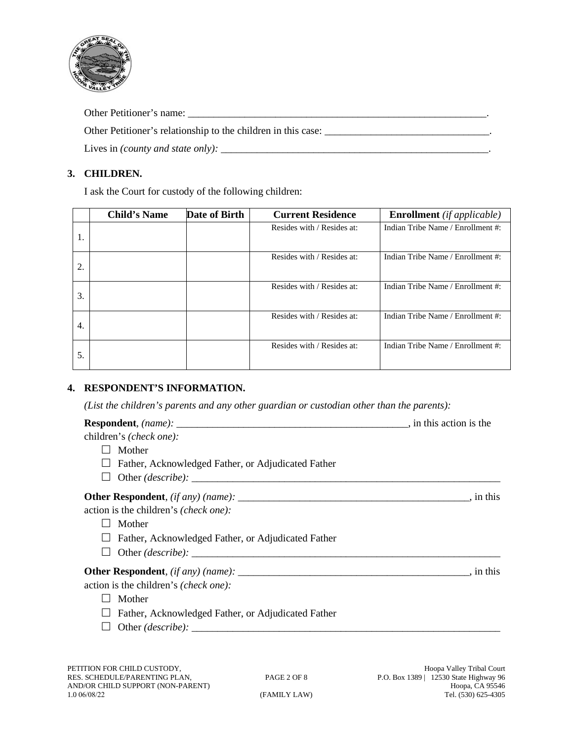

Other Petitioner's name: \_\_\_\_\_\_\_\_\_\_\_\_\_\_\_\_\_\_\_\_\_\_\_\_\_\_\_\_\_\_\_\_\_\_\_\_\_\_\_\_\_\_\_\_\_\_\_\_\_\_\_\_\_\_\_\_\_\_.

Other Petitioner's relationship to the children in this case: \_\_\_\_\_\_\_\_\_\_\_\_\_\_\_\_\_\_\_\_\_\_\_\_\_\_\_\_\_\_\_\_.

Lives in *(county and state only):* \_\_\_\_\_\_\_\_\_\_\_\_\_\_\_\_\_\_\_\_\_\_\_\_\_\_\_\_\_\_\_\_\_\_\_\_\_\_\_\_\_\_\_\_\_\_\_\_\_\_\_\_.

## **3. CHILDREN.**

I ask the Court for custody of the following children:

|    | <b>Child's Name</b> | Date of Birth | <b>Current Residence</b>   | <b>Enrollment</b> (if applicable) |
|----|---------------------|---------------|----------------------------|-----------------------------------|
| 1. |                     |               | Resides with / Resides at: | Indian Tribe Name / Enrollment #: |
|    |                     |               |                            |                                   |
| 2. |                     |               | Resides with / Resides at: | Indian Tribe Name / Enrollment #: |
|    |                     |               |                            |                                   |
| 3. |                     |               | Resides with / Resides at: | Indian Tribe Name / Enrollment #: |
|    |                     |               |                            |                                   |
| 4. |                     |               | Resides with / Resides at: | Indian Tribe Name / Enrollment #: |
|    |                     |               |                            |                                   |
|    |                     |               | Resides with / Resides at: | Indian Tribe Name / Enrollment #: |
| 5. |                     |               |                            |                                   |

## **4. RESPONDENT'S INFORMATION.**

*(List the children's parents and any other guardian or custodian other than the parents):*

| children's (check one):                                   |  |
|-----------------------------------------------------------|--|
| Mother                                                    |  |
| $\Box$ Father, Acknowledged Father, or Adjudicated Father |  |
|                                                           |  |
|                                                           |  |
| action is the children's (check one):                     |  |
| Mother                                                    |  |
| Father, Acknowledged Father, or Adjudicated Father        |  |
|                                                           |  |
|                                                           |  |
| action is the children's (check one):                     |  |
| Mother                                                    |  |
| Father, Acknowledged Father, or Adjudicated Father        |  |
|                                                           |  |
|                                                           |  |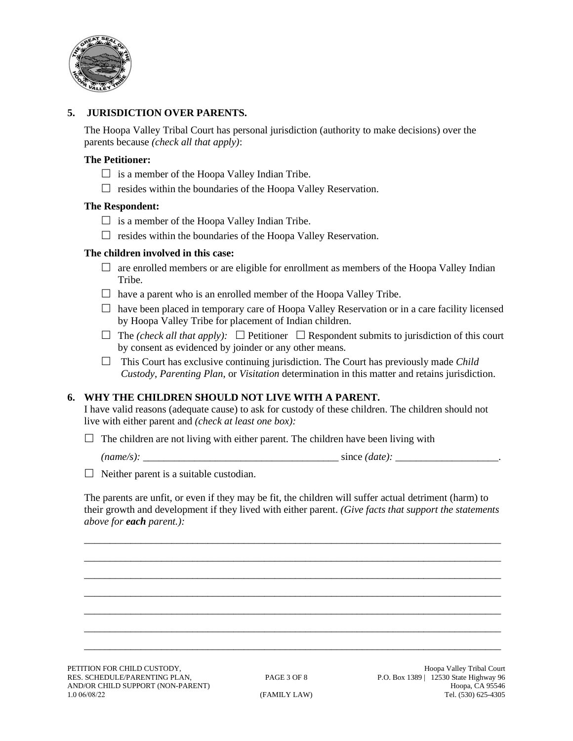

## **5. JURISDICTION OVER PARENTS.**

The Hoopa Valley Tribal Court has personal jurisdiction (authority to make decisions) over the parents because *(check all that apply)*:

#### **The Petitioner:**

- $\Box$  is a member of the Hoopa Valley Indian Tribe.
- $\Box$  resides within the boundaries of the Hoopa Valley Reservation.

### **The Respondent:**

- $\Box$  is a member of the Hoopa Valley Indian Tribe.
- $\Box$  resides within the boundaries of the Hoopa Valley Reservation.

#### **The children involved in this case:**

- $\Box$  are enrolled members or are eligible for enrollment as members of the Hoopa Valley Indian Tribe.
- $\Box$  have a parent who is an enrolled member of the Hoopa Valley Tribe.
- $\Box$  have been placed in temporary care of Hoopa Valley Reservation or in a care facility licensed by Hoopa Valley Tribe for placement of Indian children.
- $\Box$  The *(check all that apply):*  $\Box$  Petitioner  $\Box$  Respondent submits to jurisdiction of this court by consent as evidenced by joinder or any other means.
- $\Box$  This Court has exclusive continuing jurisdiction. The Court has previously made *Child Custody*, *Parenting Plan*, or *Visitation* determination in this matter and retains jurisdiction.

## **6. WHY THE CHILDREN SHOULD NOT LIVE WITH A PARENT.**

I have valid reasons (adequate cause) to ask for custody of these children. The children should not live with either parent and *(check at least one box):*

 $\Box$  The children are not living with either parent. The children have been living with

*(name/s):* \_\_\_\_\_\_\_\_\_\_\_\_\_\_\_\_\_\_\_\_\_\_\_\_\_\_\_\_\_\_\_\_\_\_\_\_\_\_ since *(date):* \_\_\_\_\_\_\_\_\_\_\_\_\_\_\_\_\_\_\_\_.

 $\Box$  Neither parent is a suitable custodian.

The parents are unfit, or even if they may be fit, the children will suffer actual detriment (harm) to their growth and development if they lived with either parent. *(Give facts that support the statements above for each parent.):*

\_\_\_\_\_\_\_\_\_\_\_\_\_\_\_\_\_\_\_\_\_\_\_\_\_\_\_\_\_\_\_\_\_\_\_\_\_\_\_\_\_\_\_\_\_\_\_\_\_\_\_\_\_\_\_\_\_\_\_\_\_\_\_\_\_\_\_\_\_\_\_\_\_\_\_\_\_\_\_\_\_ \_\_\_\_\_\_\_\_\_\_\_\_\_\_\_\_\_\_\_\_\_\_\_\_\_\_\_\_\_\_\_\_\_\_\_\_\_\_\_\_\_\_\_\_\_\_\_\_\_\_\_\_\_\_\_\_\_\_\_\_\_\_\_\_\_\_\_\_\_\_\_\_\_\_\_\_\_\_\_\_\_ \_\_\_\_\_\_\_\_\_\_\_\_\_\_\_\_\_\_\_\_\_\_\_\_\_\_\_\_\_\_\_\_\_\_\_\_\_\_\_\_\_\_\_\_\_\_\_\_\_\_\_\_\_\_\_\_\_\_\_\_\_\_\_\_\_\_\_\_\_\_\_\_\_\_\_\_\_\_\_\_\_ \_\_\_\_\_\_\_\_\_\_\_\_\_\_\_\_\_\_\_\_\_\_\_\_\_\_\_\_\_\_\_\_\_\_\_\_\_\_\_\_\_\_\_\_\_\_\_\_\_\_\_\_\_\_\_\_\_\_\_\_\_\_\_\_\_\_\_\_\_\_\_\_\_\_\_\_\_\_\_\_\_ \_\_\_\_\_\_\_\_\_\_\_\_\_\_\_\_\_\_\_\_\_\_\_\_\_\_\_\_\_\_\_\_\_\_\_\_\_\_\_\_\_\_\_\_\_\_\_\_\_\_\_\_\_\_\_\_\_\_\_\_\_\_\_\_\_\_\_\_\_\_\_\_\_\_\_\_\_\_\_\_\_ \_\_\_\_\_\_\_\_\_\_\_\_\_\_\_\_\_\_\_\_\_\_\_\_\_\_\_\_\_\_\_\_\_\_\_\_\_\_\_\_\_\_\_\_\_\_\_\_\_\_\_\_\_\_\_\_\_\_\_\_\_\_\_\_\_\_\_\_\_\_\_\_\_\_\_\_\_\_\_\_\_ \_\_\_\_\_\_\_\_\_\_\_\_\_\_\_\_\_\_\_\_\_\_\_\_\_\_\_\_\_\_\_\_\_\_\_\_\_\_\_\_\_\_\_\_\_\_\_\_\_\_\_\_\_\_\_\_\_\_\_\_\_\_\_\_\_\_\_\_\_\_\_\_\_\_\_\_\_\_\_\_\_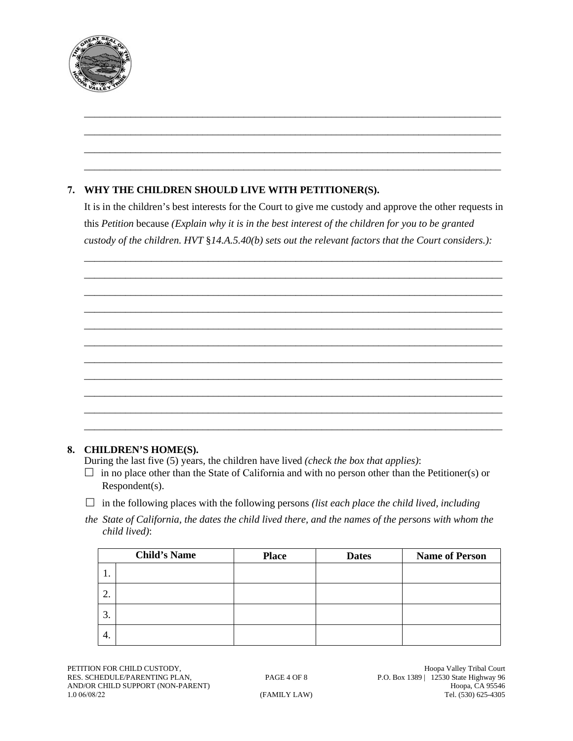

# **7. WHY THE CHILDREN SHOULD LIVE WITH PETITIONER(S).**

It is in the children's best interests for the Court to give me custody and approve the other requests in this *Petition* because *(Explain why it is in the best interest of the children for you to be granted custody of the children. HVT* §*14.A.5.40(b) sets out the relevant factors that the Court considers.):*

\_\_\_\_\_\_\_\_\_\_\_\_\_\_\_\_\_\_\_\_\_\_\_\_\_\_\_\_\_\_\_\_\_\_\_\_\_\_\_\_\_\_\_\_\_\_\_\_\_\_\_\_\_\_\_\_\_\_\_\_\_\_\_\_\_\_\_\_\_\_\_\_\_\_\_\_\_\_\_\_\_ \_\_\_\_\_\_\_\_\_\_\_\_\_\_\_\_\_\_\_\_\_\_\_\_\_\_\_\_\_\_\_\_\_\_\_\_\_\_\_\_\_\_\_\_\_\_\_\_\_\_\_\_\_\_\_\_\_\_\_\_\_\_\_\_\_\_\_\_\_\_\_\_\_\_\_\_\_\_\_\_\_ \_\_\_\_\_\_\_\_\_\_\_\_\_\_\_\_\_\_\_\_\_\_\_\_\_\_\_\_\_\_\_\_\_\_\_\_\_\_\_\_\_\_\_\_\_\_\_\_\_\_\_\_\_\_\_\_\_\_\_\_\_\_\_\_\_\_\_\_\_\_\_\_\_\_\_\_\_\_\_\_\_ \_\_\_\_\_\_\_\_\_\_\_\_\_\_\_\_\_\_\_\_\_\_\_\_\_\_\_\_\_\_\_\_\_\_\_\_\_\_\_\_\_\_\_\_\_\_\_\_\_\_\_\_\_\_\_\_\_\_\_\_\_\_\_\_\_\_\_\_\_\_\_\_\_\_\_\_\_\_\_\_\_ \_\_\_\_\_\_\_\_\_\_\_\_\_\_\_\_\_\_\_\_\_\_\_\_\_\_\_\_\_\_\_\_\_\_\_\_\_\_\_\_\_\_\_\_\_\_\_\_\_\_\_\_\_\_\_\_\_\_\_\_\_\_\_\_\_\_\_\_\_\_\_\_\_\_\_\_\_\_\_\_\_ \_\_\_\_\_\_\_\_\_\_\_\_\_\_\_\_\_\_\_\_\_\_\_\_\_\_\_\_\_\_\_\_\_\_\_\_\_\_\_\_\_\_\_\_\_\_\_\_\_\_\_\_\_\_\_\_\_\_\_\_\_\_\_\_\_\_\_\_\_\_\_\_\_\_\_\_\_\_\_\_\_ \_\_\_\_\_\_\_\_\_\_\_\_\_\_\_\_\_\_\_\_\_\_\_\_\_\_\_\_\_\_\_\_\_\_\_\_\_\_\_\_\_\_\_\_\_\_\_\_\_\_\_\_\_\_\_\_\_\_\_\_\_\_\_\_\_\_\_\_\_\_\_\_\_\_\_\_\_\_\_\_\_ \_\_\_\_\_\_\_\_\_\_\_\_\_\_\_\_\_\_\_\_\_\_\_\_\_\_\_\_\_\_\_\_\_\_\_\_\_\_\_\_\_\_\_\_\_\_\_\_\_\_\_\_\_\_\_\_\_\_\_\_\_\_\_\_\_\_\_\_\_\_\_\_\_\_\_\_\_\_\_\_\_ \_\_\_\_\_\_\_\_\_\_\_\_\_\_\_\_\_\_\_\_\_\_\_\_\_\_\_\_\_\_\_\_\_\_\_\_\_\_\_\_\_\_\_\_\_\_\_\_\_\_\_\_\_\_\_\_\_\_\_\_\_\_\_\_\_\_\_\_\_\_\_\_\_\_\_\_\_\_\_\_\_ \_\_\_\_\_\_\_\_\_\_\_\_\_\_\_\_\_\_\_\_\_\_\_\_\_\_\_\_\_\_\_\_\_\_\_\_\_\_\_\_\_\_\_\_\_\_\_\_\_\_\_\_\_\_\_\_\_\_\_\_\_\_\_\_\_\_\_\_\_\_\_\_\_\_\_\_\_\_\_\_\_ \_\_\_\_\_\_\_\_\_\_\_\_\_\_\_\_\_\_\_\_\_\_\_\_\_\_\_\_\_\_\_\_\_\_\_\_\_\_\_\_\_\_\_\_\_\_\_\_\_\_\_\_\_\_\_\_\_\_\_\_\_\_\_\_\_\_\_\_\_\_\_\_\_\_\_\_\_\_\_\_\_

\_\_\_\_\_\_\_\_\_\_\_\_\_\_\_\_\_\_\_\_\_\_\_\_\_\_\_\_\_\_\_\_\_\_\_\_\_\_\_\_\_\_\_\_\_\_\_\_\_\_\_\_\_\_\_\_\_\_\_\_\_\_\_\_\_\_\_\_\_\_\_\_\_\_\_\_\_\_\_\_\_ \_\_\_\_\_\_\_\_\_\_\_\_\_\_\_\_\_\_\_\_\_\_\_\_\_\_\_\_\_\_\_\_\_\_\_\_\_\_\_\_\_\_\_\_\_\_\_\_\_\_\_\_\_\_\_\_\_\_\_\_\_\_\_\_\_\_\_\_\_\_\_\_\_\_\_\_\_\_\_\_\_ \_\_\_\_\_\_\_\_\_\_\_\_\_\_\_\_\_\_\_\_\_\_\_\_\_\_\_\_\_\_\_\_\_\_\_\_\_\_\_\_\_\_\_\_\_\_\_\_\_\_\_\_\_\_\_\_\_\_\_\_\_\_\_\_\_\_\_\_\_\_\_\_\_\_\_\_\_\_\_\_\_ \_\_\_\_\_\_\_\_\_\_\_\_\_\_\_\_\_\_\_\_\_\_\_\_\_\_\_\_\_\_\_\_\_\_\_\_\_\_\_\_\_\_\_\_\_\_\_\_\_\_\_\_\_\_\_\_\_\_\_\_\_\_\_\_\_\_\_\_\_\_\_\_\_\_\_\_\_\_\_\_\_

## **8. CHILDREN'S HOME(S).**

During the last five (5) years, the children have lived *(check the box that applies)*:

- $\Box$  in no place other than the State of California and with no person other than the Petitioner(s) or Respondent(s).
- $\Box$  in the following places with the following persons *(list each place the child lived, including*
- *the State of California, the dates the child lived there, and the names of the persons with whom the child lived)*:

|         | <b>Child's Name</b> | <b>Place</b> | <b>Dates</b> | <b>Name of Person</b> |
|---------|---------------------|--------------|--------------|-----------------------|
| . .     |                     |              |              |                       |
| ി<br>۷. |                     |              |              |                       |
| 3.      |                     |              |              |                       |
| 4.      |                     |              |              |                       |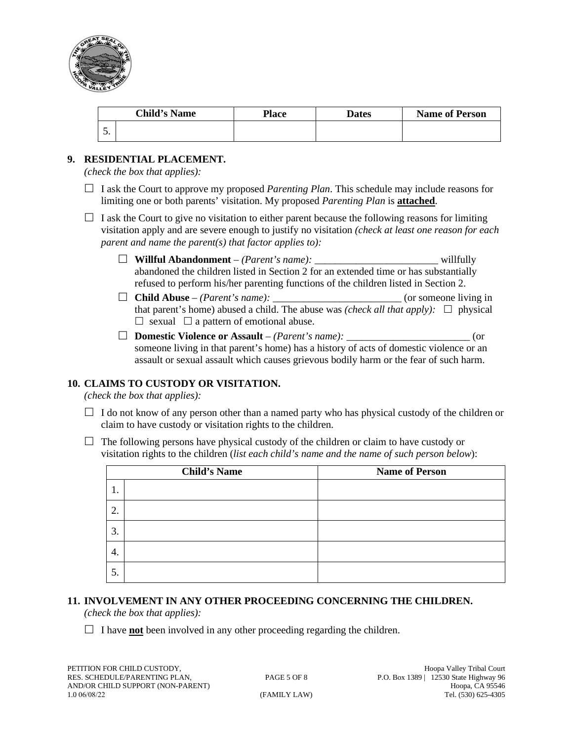

| <b>Child's Name</b> |  | <b>Place</b> | Dates | <b>Name of Person</b> |
|---------------------|--|--------------|-------|-----------------------|
| J.                  |  |              |       |                       |

## **9. RESIDENTIAL PLACEMENT.**

*(check the box that applies):*

- $\Box$  I ask the Court to approve my proposed *Parenting Plan*. This schedule may include reasons for limiting one or both parents' visitation. My proposed *Parenting Plan* is **attached**.
- $\Box$  I ask the Court to give no visitation to either parent because the following reasons for limiting visitation apply and are severe enough to justify no visitation *(check at least one reason for each parent and name the parent(s) that factor applies to):*
	- **Willful Abandonment** *(Parent's name):* \_\_\_\_\_\_\_\_\_\_\_\_\_\_\_\_\_\_\_\_\_\_\_\_ willfully abandoned the children listed in Section 2 for an extended time or has substantially refused to perform his/her parenting functions of the children listed in Section 2.
	- $\Box$  **Child Abuse** *(Parent's name):*  $\Box$  (or someone living in that parent's home) abused a child. The abuse was *(check all that apply)*:  $\Box$  physical  $\Box$  sexual  $\Box$  a pattern of emotional abuse.
	- **Domestic Violence or Assault** *(Parent's name):* \_\_\_\_\_\_\_\_\_\_\_\_\_\_\_\_\_\_\_\_\_\_\_\_ (or someone living in that parent's home) has a history of acts of domestic violence or an assault or sexual assault which causes grievous bodily harm or the fear of such harm.

## **10. CLAIMS TO CUSTODY OR VISITATION.**

*(check the box that applies):*

- $\Box$  I do not know of any person other than a named party who has physical custody of the children or claim to have custody or visitation rights to the children.
- $\Box$  The following persons have physical custody of the children or claim to have custody or visitation rights to the children (*list each child's name and the name of such person below*):

| <b>Child's Name</b> |  | <b>Name of Person</b> |
|---------------------|--|-----------------------|
| 1.                  |  |                       |
| 2.                  |  |                       |
| 3.                  |  |                       |
| 4.                  |  |                       |
| 5.                  |  |                       |

## **11. INVOLVEMENT IN ANY OTHER PROCEEDING CONCERNING THE CHILDREN.**

*(check the box that applies):*

 $\Box$  I have **not** been involved in any other proceeding regarding the children.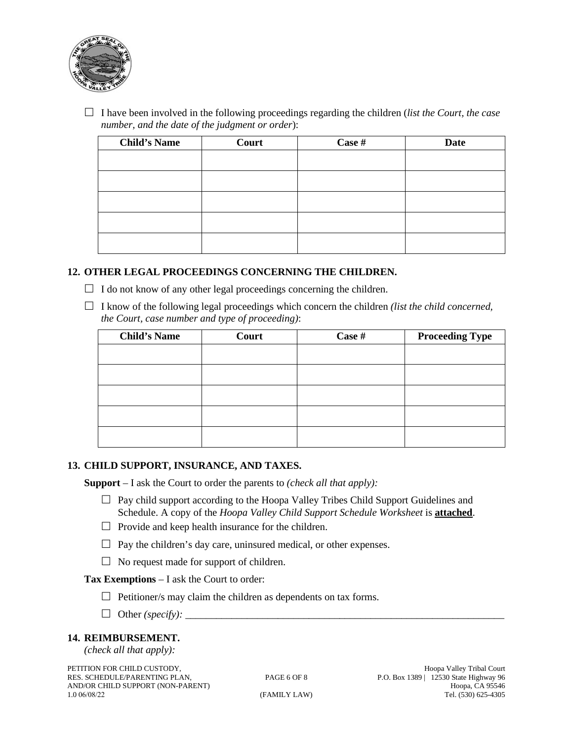

 $\Box$  I have been involved in the following proceedings regarding the children (*list the Court, the case number, and the date of the judgment or order*):

| <b>Child's Name</b> | Court | Case # | <b>Date</b> |
|---------------------|-------|--------|-------------|
|                     |       |        |             |
|                     |       |        |             |
|                     |       |        |             |
|                     |       |        |             |
|                     |       |        |             |

### **12. OTHER LEGAL PROCEEDINGS CONCERNING THE CHILDREN.**

 $\Box$  I do not know of any other legal proceedings concerning the children.

 $\Box$  I know of the following legal proceedings which concern the children *(list the child concerned, the Court, case number and type of proceeding)*:

| <b>Child's Name</b> | Court | Case # | <b>Proceeding Type</b> |
|---------------------|-------|--------|------------------------|
|                     |       |        |                        |
|                     |       |        |                        |
|                     |       |        |                        |
|                     |       |        |                        |
|                     |       |        |                        |

### **13. CHILD SUPPORT, INSURANCE, AND TAXES.**

**Support** – I ask the Court to order the parents to *(check all that apply):*

- $\Box$  Pay child support according to the Hoopa Valley Tribes Child Support Guidelines and Schedule. A copy of the *Hoopa Valley Child Support Schedule Worksheet* is **attached**.
- $\Box$  Provide and keep health insurance for the children.
- $\Box$  Pay the children's day care, uninsured medical, or other expenses.
- $\Box$  No request made for support of children.

**Tax Exemptions** – I ask the Court to order:

- $\Box$  Petitioner/s may claim the children as dependents on tax forms.
- $\Box$  Other *(specify)*:

#### **14. REIMBURSEMENT.**

*(check all that apply):*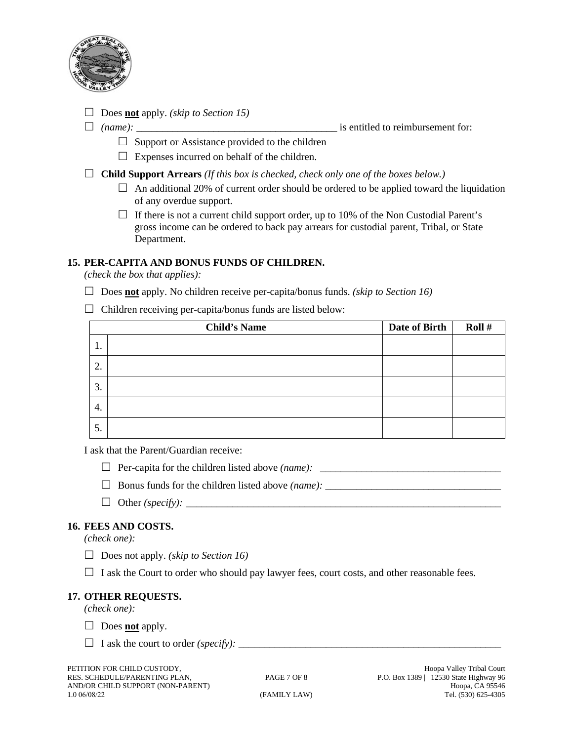

Does **not** apply. *(skip to Section 15)*

*(name):* \_\_\_\_\_\_\_\_\_\_\_\_\_\_\_\_\_\_\_\_\_\_\_\_\_\_\_\_\_\_\_\_\_\_\_\_\_\_\_ is entitled to reimbursement for:

- $\Box$  Support or Assistance provided to the children
- $\Box$  Expenses incurred on behalf of the children.

**Child Support Arrears** *(If this box is checked, check only one of the boxes below.)*

- $\Box$  An additional 20% of current order should be ordered to be applied toward the liquidation of any overdue support.
- $\Box$  If there is not a current child support order, up to 10% of the Non Custodial Parent's gross income can be ordered to back pay arrears for custodial parent, Tribal, or State Department.

## **15. PER-CAPITA AND BONUS FUNDS OF CHILDREN.**

*(check the box that applies):*

- Does **not** apply. No children receive per-capita/bonus funds. *(skip to Section 16)*
- $\Box$  Children receiving per-capita/bonus funds are listed below:

|    | <b>Child's Name</b> | Date of Birth | Roll# |
|----|---------------------|---------------|-------|
| 1. |                     |               |       |
| 2. |                     |               |       |
| 3. |                     |               |       |
| 4. |                     |               |       |
| 5. |                     |               |       |

I ask that the Parent/Guardian receive:

- $\Box$  Per-capita for the children listed above *(name)*:  $\Box$
- $\Box$  Bonus funds for the children listed above *(name)*:
- Other *(specify):* \_\_\_\_\_\_\_\_\_\_\_\_\_\_\_\_\_\_\_\_\_\_\_\_\_\_\_\_\_\_\_\_\_\_\_\_\_\_\_\_\_\_\_\_\_\_\_\_\_\_\_\_\_\_\_\_\_\_\_\_\_

## **16. FEES AND COSTS.**

*(check one):*

- Does not apply. *(skip to Section 16)*
- $\Box$  I ask the Court to order who should pay lawyer fees, court costs, and other reasonable fees.

## **17. OTHER REQUESTS.**

*(check one):*

- $\Box$  Does **<u>not</u>** apply.
- $\Box$  I ask the court to order *(specify):*  $\Box$